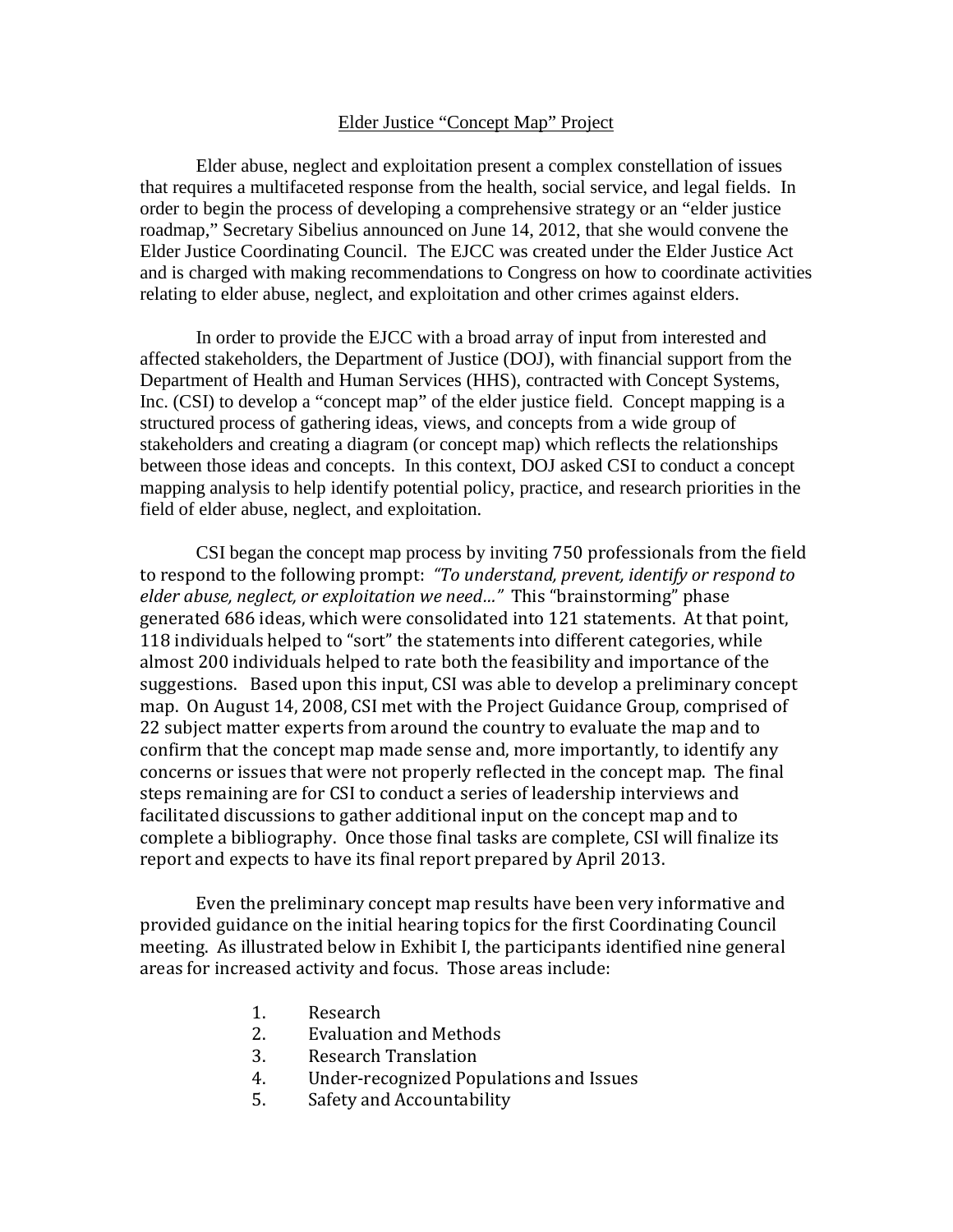## Elder Justice "Concept Map" Project

Elder abuse, neglect and exploitation present a complex constellation of issues that requires a multifaceted response from the health, social service, and legal fields. In order to begin the process of developing a comprehensive strategy or an "elder justice roadmap," Secretary Sibelius announced on June 14, 2012, that she would convene the Elder Justice Coordinating Council. The EJCC was created under the Elder Justice Act and is charged with making recommendations to Congress on how to coordinate activities relating to elder abuse, neglect, and exploitation and other crimes against elders.

In order to provide the EJCC with a broad array of input from interested and affected stakeholders, the Department of Justice (DOJ), with financial support from the Department of Health and Human Services (HHS), contracted with Concept Systems, Inc. (CSI) to develop a "concept map" of the elder justice field. Concept mapping is a structured process of gathering ideas, views, and concepts from a wide group of stakeholders and creating a diagram (or concept map) which reflects the relationships between those ideas and concepts. In this context, DOJ asked CSI to conduct a concept mapping analysis to help identify potential policy, practice, and research priorities in the field of elder abuse, neglect, and exploitation.

CSI began the concept map process by inviting 750 professionals from the field to respond to the following prompt: *"To understand, prevent, identify or respond to elder abuse, neglect, or exploitation we need…"* This "brainstorming" phase generated 686 ideas, which were consolidated into 121 statements. At that point, 118 individuals helped to "sort" the statements into different categories, while almost 200 individuals helped to rate both the feasibility and importance of the suggestions. Based upon this input, CSI was able to develop a preliminary concept map. On August 14, 2008, CSI met with the Project Guidance Group, comprised of 22 subject matter experts from around the country to evaluate the map and to confirm that the concept map made sense and, more importantly, to identify any concerns or issues that were not properly reflected in the concept map. The final steps remaining are for CSI to conduct a series of leadership interviews and facilitated discussions to gather additional input on the concept map and to complete a bibliography. Once those final tasks are complete, CSI will finalize its report and expects to have its final report prepared by April 2013.

Even the preliminary concept map results have been very informative and provided guidance on the initial hearing topics for the first Coordinating Council meeting. As illustrated below in Exhibit I, the participants identified nine general areas for increased activity and focus. Those areas include:

- 1. Research<br>2. Evaluation
- 2. Evaluation and Methods<br>3. Research Translation
- 3. Research Translation<br>4. Inder-recognized Por
- 4. Under-recognized Populations and Issues<br>5. Safety and Accountability
- 5. Safety and Accountability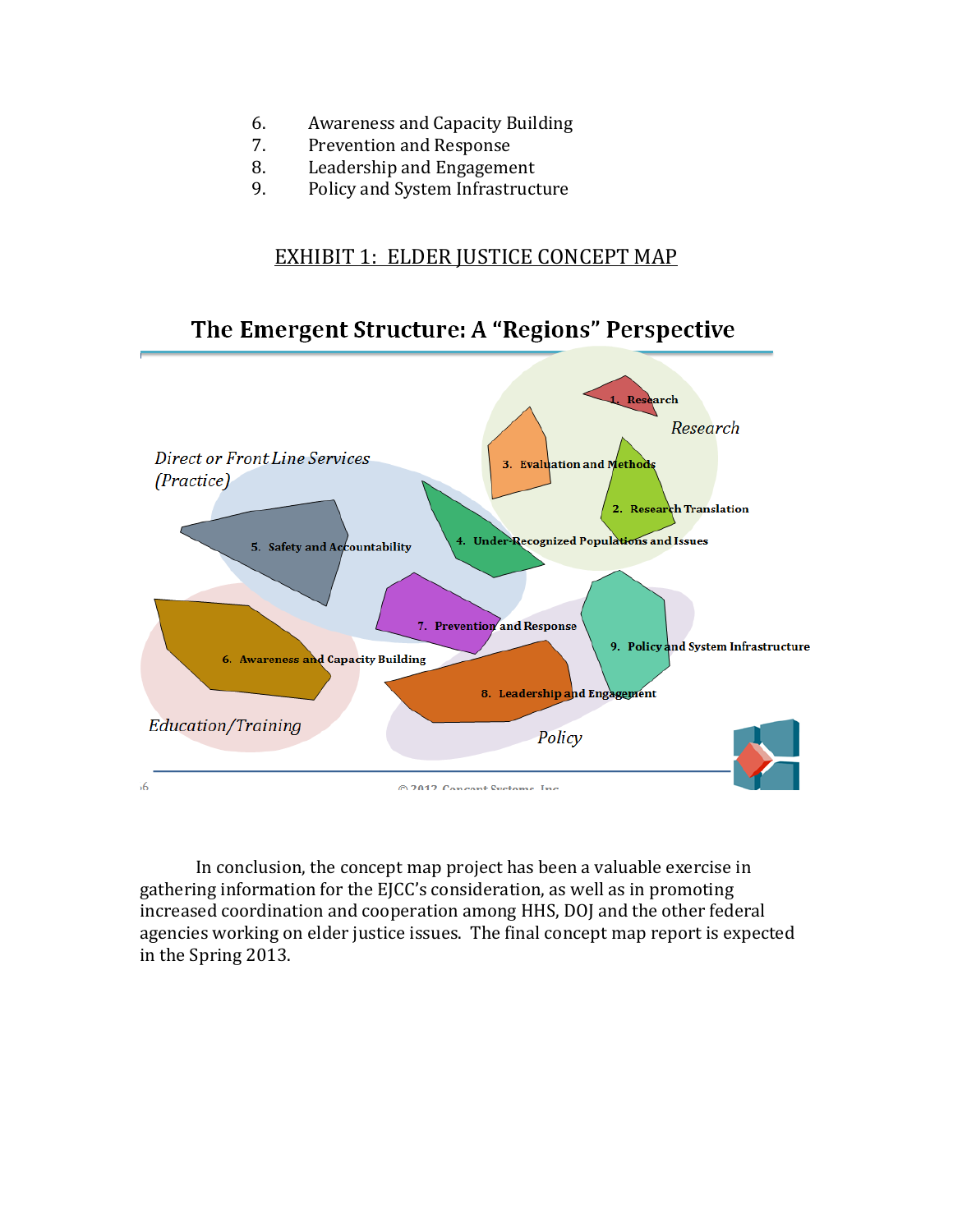- 6. Awareness and Capacity Building<br>7. Prevention and Response
- 7. Prevention and Response<br>8. Leadership and Engageme
- 8. Leadership and Engagement<br>9. Policy and System Infrastruct
- 9. Policy and System Infrastructure

## EXHIBIT 1: ELDER JUSTICE CONCEPT MAP

## The Emergent Structure: A "Regions" Perspective



In conclusion, the concept map project has been a valuable exercise in gathering information for the EJCC's consideration, as well as in promoting increased coordination and cooperation among HHS, DOJ and the other federal agencies working on elder justice issues. The final concept map report is expected in the Spring 2013.